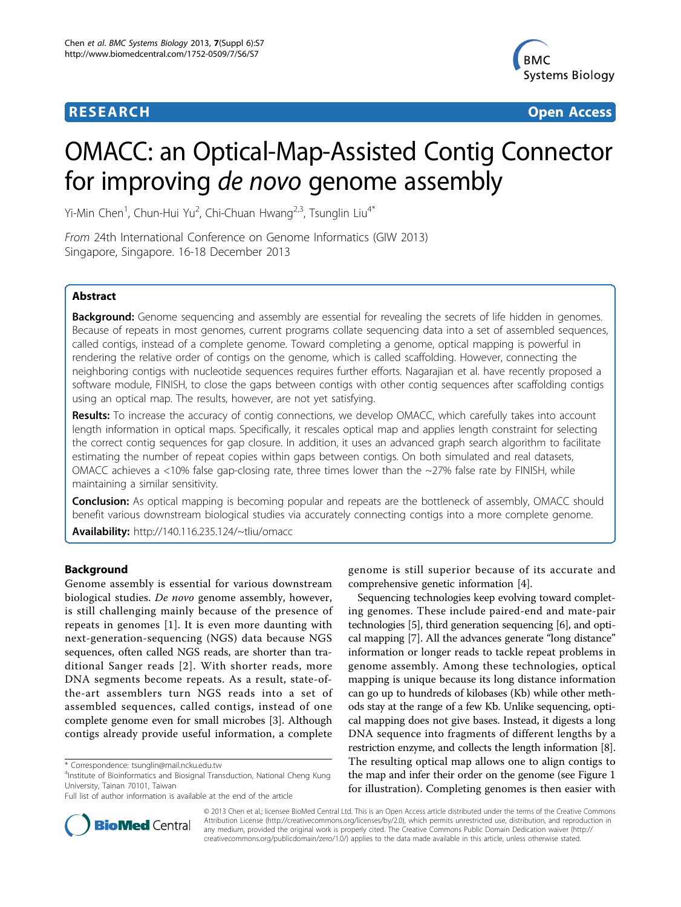# **RESEARCH CONTROL** CONTROL CONTROL CONTROL CONTROL CONTROL CONTROL CONTROL CONTROL CONTROL CONTROL CONTROL CONTROL CONTROL CONTROL CONTROL CONTROL CONTROL CONTROL CONTROL CONTROL CONTROL CONTROL CONTROL CONTROL CONTROL CON



# OMACC: an Optical-Map-Assisted Contig Connector for improving de novo genome assembly

Yi-Min Chen<sup>1</sup>, Chun-Hui Yu<sup>2</sup>, Chi-Chuan Hwang<sup>2,3</sup>, Tsunglin Liu<sup>4\*</sup>

From 24th International Conference on Genome Informatics (GIW 2013) Singapore, Singapore. 16-18 December 2013

# Abstract

**Background:** Genome sequencing and assembly are essential for revealing the secrets of life hidden in genomes. Because of repeats in most genomes, current programs collate sequencing data into a set of assembled sequences, called contigs, instead of a complete genome. Toward completing a genome, optical mapping is powerful in rendering the relative order of contigs on the genome, which is called scaffolding. However, connecting the neighboring contigs with nucleotide sequences requires further efforts. Nagarajian et al. have recently proposed a software module, FINISH, to close the gaps between contigs with other contig sequences after scaffolding contigs using an optical map. The results, however, are not yet satisfying.

Results: To increase the accuracy of contig connections, we develop OMACC, which carefully takes into account length information in optical maps. Specifically, it rescales optical map and applies length constraint for selecting the correct contig sequences for gap closure. In addition, it uses an advanced graph search algorithm to facilitate estimating the number of repeat copies within gaps between contigs. On both simulated and real datasets, OMACC achieves a  $<10\%$  false gap-closing rate, three times lower than the  $<27\%$  false rate by FINISH, while maintaining a similar sensitivity.

**Conclusion:** As optical mapping is becoming popular and repeats are the bottleneck of assembly, OMACC should benefit various downstream biological studies via accurately connecting contigs into a more complete genome. Availability: <http://140.116.235.124/~tliu/omacc>

# Background

Genome assembly is essential for various downstream biological studies. De novo genome assembly, however, is still challenging mainly because of the presence of repeats in genomes [[1](#page-10-0)]. It is even more daunting with next-generation-sequencing (NGS) data because NGS sequences, often called NGS reads, are shorter than traditional Sanger reads [[2](#page-10-0)]. With shorter reads, more DNA segments become repeats. As a result, state-ofthe-art assemblers turn NGS reads into a set of assembled sequences, called contigs, instead of one complete genome even for small microbes [[3](#page-10-0)]. Although contigs already provide useful information, a complete



Sequencing technologies keep evolving toward completing genomes. These include paired-end and mate-pair technologies [\[5\]](#page-10-0), third generation sequencing [\[6](#page-10-0)], and optical mapping [[7\]](#page-10-0). All the advances generate "long distance" information or longer reads to tackle repeat problems in genome assembly. Among these technologies, optical mapping is unique because its long distance information can go up to hundreds of kilobases (Kb) while other methods stay at the range of a few Kb. Unlike sequencing, optical mapping does not give bases. Instead, it digests a long DNA sequence into fragments of different lengths by a restriction enzyme, and collects the length information [[8](#page-10-0)]. The resulting optical map allows one to align contigs to the map and infer their order on the genome (see Figure [1](#page-1-0) for illustration). Completing genomes is then easier with



© 2013 Chen et al.; licensee BioMed Central Ltd. This is an Open Access article distributed under the terms of the Creative Commons Attribution License [\(http://creativecommons.org/licenses/by/2.0](http://creativecommons.org/licenses/by/2.0)), which permits unrestricted use, distribution, and reproduction in any medium, provided the original work is properly cited. The Creative Commons Public Domain Dedication waiver [\(http://](http://creativecommons.org/publicdomain/zero/1.0/) [creativecommons.org/publicdomain/zero/1.0/](http://creativecommons.org/publicdomain/zero/1.0/)) applies to the data made available in this article, unless otherwise stated.

<sup>\*</sup> Correspondence: [tsunglin@mail.ncku.edu.tw](mailto:tsunglin@mail.ncku.edu.tw)

<sup>4</sup> Institute of Bioinformatics and Biosignal Transduction, National Cheng Kung University, Tainan 70101, Taiwan

Full list of author information is available at the end of the article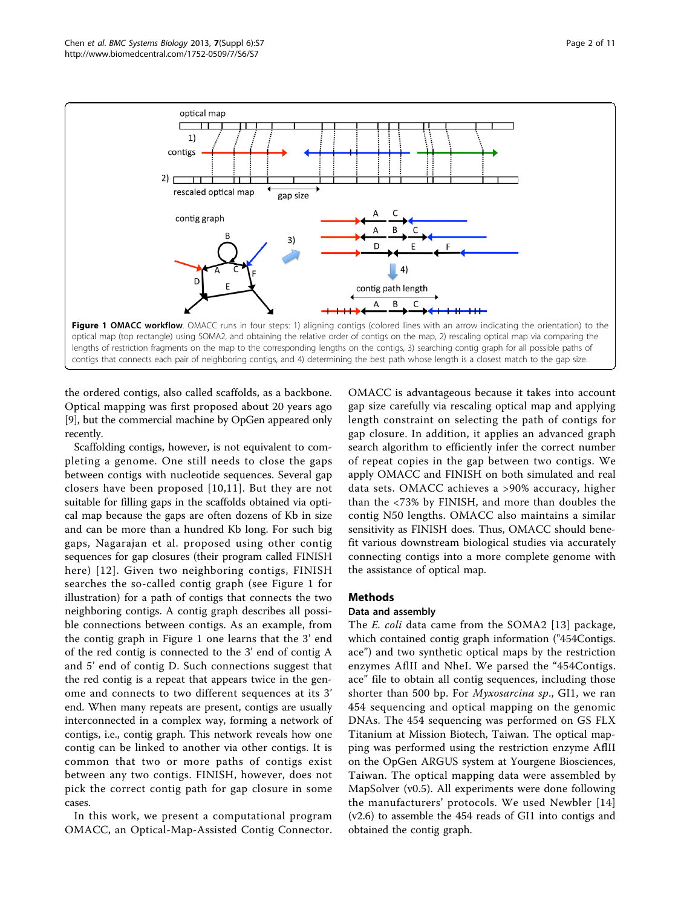<span id="page-1-0"></span>

the ordered contigs, also called scaffolds, as a backbone. Optical mapping was first proposed about 20 years ago [[9\]](#page-10-0), but the commercial machine by OpGen appeared only recently.

Scaffolding contigs, however, is not equivalent to completing a genome. One still needs to close the gaps between contigs with nucleotide sequences. Several gap closers have been proposed [[10,11\]](#page-10-0). But they are not suitable for filling gaps in the scaffolds obtained via optical map because the gaps are often dozens of Kb in size and can be more than a hundred Kb long. For such big gaps, Nagarajan et al. proposed using other contig sequences for gap closures (their program called FINISH here) [[12](#page-10-0)]. Given two neighboring contigs, FINISH searches the so-called contig graph (see Figure 1 for illustration) for a path of contigs that connects the two neighboring contigs. A contig graph describes all possible connections between contigs. As an example, from the contig graph in Figure 1 one learns that the 3' end of the red contig is connected to the 3' end of contig A and 5' end of contig D. Such connections suggest that the red contig is a repeat that appears twice in the genome and connects to two different sequences at its 3' end. When many repeats are present, contigs are usually interconnected in a complex way, forming a network of contigs, i.e., contig graph. This network reveals how one contig can be linked to another via other contigs. It is common that two or more paths of contigs exist between any two contigs. FINISH, however, does not pick the correct contig path for gap closure in some cases.

In this work, we present a computational program OMACC, an Optical-Map-Assisted Contig Connector.

OMACC is advantageous because it takes into account gap size carefully via rescaling optical map and applying length constraint on selecting the path of contigs for gap closure. In addition, it applies an advanced graph search algorithm to efficiently infer the correct number of repeat copies in the gap between two contigs. We apply OMACC and FINISH on both simulated and real data sets. OMACC achieves a >90% accuracy, higher than the <73% by FINISH, and more than doubles the contig N50 lengths. OMACC also maintains a similar sensitivity as FINISH does. Thus, OMACC should benefit various downstream biological studies via accurately connecting contigs into a more complete genome with the assistance of optical map.

# Methods

### Data and assembly

The *E. coli* data came from the SOMA2 [\[13\]](#page-10-0) package, which contained contig graph information ("454Contigs. ace") and two synthetic optical maps by the restriction enzymes AflII and NheI. We parsed the "454Contigs. ace" file to obtain all contig sequences, including those shorter than 500 bp. For Myxosarcina sp., GI1, we ran 454 sequencing and optical mapping on the genomic DNAs. The 454 sequencing was performed on GS FLX Titanium at Mission Biotech, Taiwan. The optical mapping was performed using the restriction enzyme AflII on the OpGen ARGUS system at Yourgene Biosciences, Taiwan. The optical mapping data were assembled by MapSolver (v0.5). All experiments were done following the manufacturers' protocols. We used Newbler [[14](#page-10-0)] (v2.6) to assemble the 454 reads of GI1 into contigs and obtained the contig graph.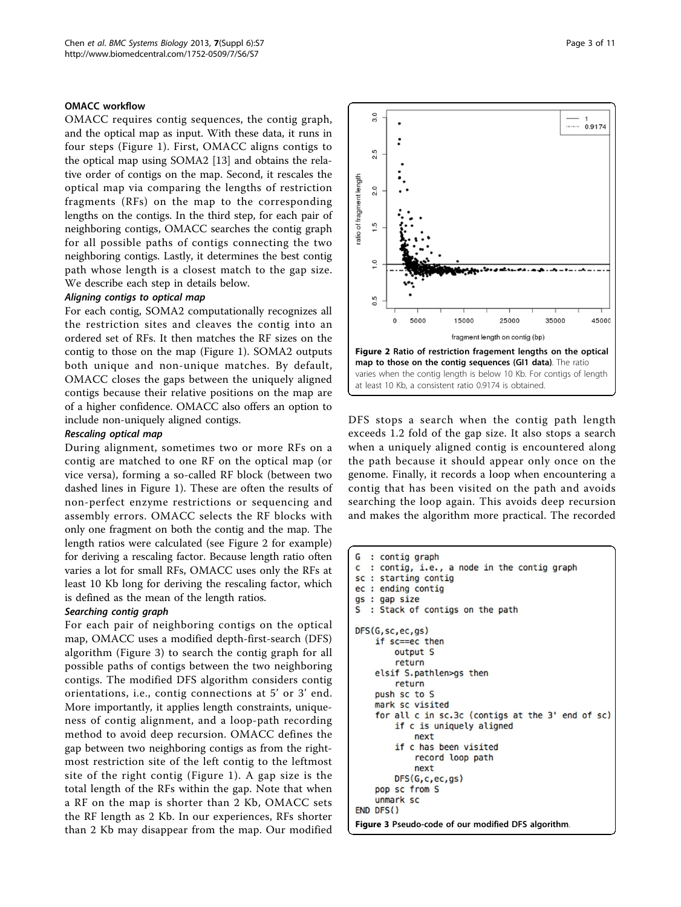#### OMACC workflow

OMACC requires contig sequences, the contig graph, and the optical map as input. With these data, it runs in four steps (Figure [1\)](#page-1-0). First, OMACC aligns contigs to the optical map using SOMA2 [[13\]](#page-10-0) and obtains the relative order of contigs on the map. Second, it rescales the optical map via comparing the lengths of restriction fragments (RFs) on the map to the corresponding lengths on the contigs. In the third step, for each pair of neighboring contigs, OMACC searches the contig graph for all possible paths of contigs connecting the two neighboring contigs. Lastly, it determines the best contig path whose length is a closest match to the gap size. We describe each step in details below.

For each contig, SOMA2 computationally recognizes all the restriction sites and cleaves the contig into an ordered set of RFs. It then matches the RF sizes on the contig to those on the map (Figure [1\)](#page-1-0). SOMA2 outputs both unique and non-unique matches. By default, OMACC closes the gaps between the uniquely aligned contigs because their relative positions on the map are of a higher confidence. OMACC also offers an option to include non-uniquely aligned contigs.

During alignment, sometimes two or more RFs on a contig are matched to one RF on the optical map (or vice versa), forming a so-called RF block (between two dashed lines in Figure [1](#page-1-0)). These are often the results of non-perfect enzyme restrictions or sequencing and assembly errors. OMACC selects the RF blocks with only one fragment on both the contig and the map. The length ratios were calculated (see Figure 2 for example) for deriving a rescaling factor. Because length ratio often varies a lot for small RFs, OMACC uses only the RFs at least 10 Kb long for deriving the rescaling factor, which is defined as the mean of the length ratios.

-samaling search pair.<br>For each pair of neighboring contigs on the optical map, OMACC uses a modified depth-first-search (DFS) algorithm (Figure 3) to search the contig graph for all possible paths of contigs between the two neighboring contigs. The modified DFS algorithm considers contig orientations, i.e., contig connections at 5' or 3' end. More importantly, it applies length constraints, uniqueness of contig alignment, and a loop-path recording method to avoid deep recursion. OMACC defines the gap between two neighboring contigs as from the rightmost restriction site of the left contig to the leftmost site of the right contig (Figure [1\)](#page-1-0). A gap size is the total length of the RFs within the gap. Note that when a RF on the map is shorter than 2 Kb, OMACC sets the RF length as 2 Kb. In our experiences, RFs shorter than 2 Kb may disappear from the map. Our modified



DFS stops a search when the contig path length exceeds 1.2 fold of the gap size. It also stops a search when a uniquely aligned contig is encountered along the path because it should appear only once on the genome. Finally, it records a loop when encountering a contig that has been visited on the path and avoids searching the loop again. This avoids deep recursion and makes the algorithm more practical. The recorded

```
G
  : contig graph
   : contig, i.e., a node in the contig graph
C
sc : starting contig
ec : ending contig
gs : gap size
\mathbf{S}: Stack of contigs on the path
DFS(G, sc, ec, gs)
    if sc==ec then
        output S
        return
    elsif S.pathlen>gs then
        return
    push sc to S
    mark sc visited
    for all c in sc.3c (contigs at the 3' end of sc)
        if c is uniquely aligned
            next
        if c has been visited
             record loop path
             next
        DFS(G, c, ec, gs)
    pop sc from S
    unmark sc
END DFS()
Figure 3 Pseudo-code of our modified DFS algorithm.
```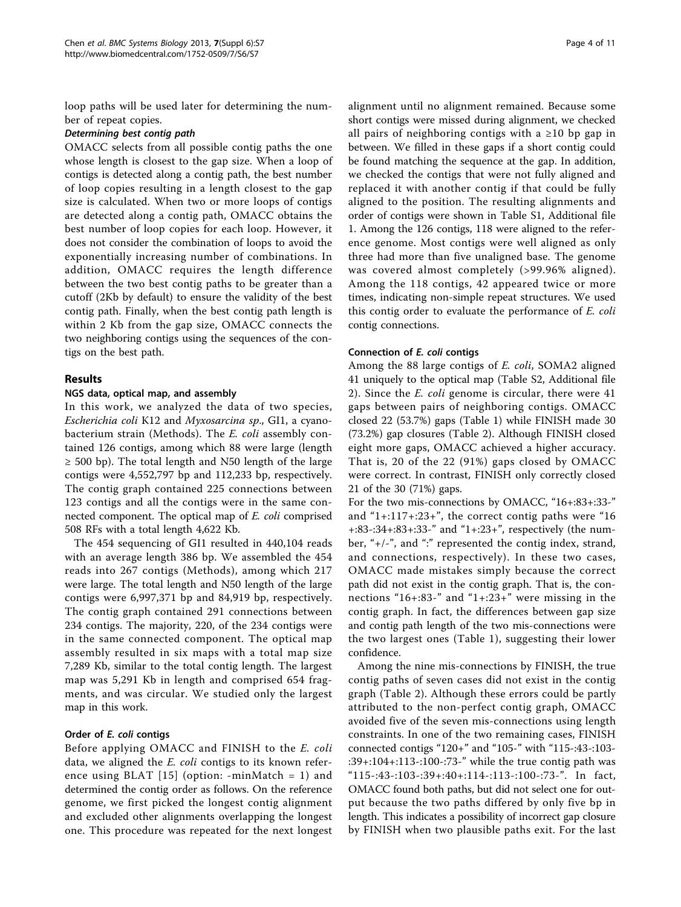loop paths will be used later for determining the number of repeat copies.

OMACC selects from all possible contig paths the one whose length is closest to the gap size. When a loop of contigs is detected along a contig path, the best number of loop copies resulting in a length closest to the gap size is calculated. When two or more loops of contigs are detected along a contig path, OMACC obtains the best number of loop copies for each loop. However, it does not consider the combination of loops to avoid the exponentially increasing number of combinations. In addition, OMACC requires the length difference between the two best contig paths to be greater than a cutoff (2Kb by default) to ensure the validity of the best contig path. Finally, when the best contig path length is within 2 Kb from the gap size, OMACC connects the two neighboring contigs using the sequences of the contigs on the best path.

# Results

### NGS data, optical map, and assembly

In this work, we analyzed the data of two species, Escherichia coli K12 and Myxosarcina sp., GI1, a cyanobacterium strain (Methods). The E. coli assembly contained 126 contigs, among which 88 were large (length  $\geq$  500 bp). The total length and N50 length of the large contigs were 4,552,797 bp and 112,233 bp, respectively. The contig graph contained 225 connections between 123 contigs and all the contigs were in the same connected component. The optical map of E. coli comprised 508 RFs with a total length 4,622 Kb.

The 454 sequencing of GI1 resulted in 440,104 reads with an average length 386 bp. We assembled the 454 reads into 267 contigs (Methods), among which 217 were large. The total length and N50 length of the large contigs were 6,997,371 bp and 84,919 bp, respectively. The contig graph contained 291 connections between 234 contigs. The majority, 220, of the 234 contigs were in the same connected component. The optical map assembly resulted in six maps with a total map size 7,289 Kb, similar to the total contig length. The largest map was 5,291 Kb in length and comprised 654 fragments, and was circular. We studied only the largest map in this work.

# Order of E. coli contigs

Before applying OMACC and FINISH to the E. coli data, we aligned the E. coli contigs to its known reference using BLAT  $[15]$  $[15]$  (option: -minMatch = 1) and determined the contig order as follows. On the reference genome, we first picked the longest contig alignment and excluded other alignments overlapping the longest one. This procedure was repeated for the next longest alignment until no alignment remained. Because some short contigs were missed during alignment, we checked all pairs of neighboring contigs with a ≥10 bp gap in between. We filled in these gaps if a short contig could be found matching the sequence at the gap. In addition, we checked the contigs that were not fully aligned and replaced it with another contig if that could be fully aligned to the position. The resulting alignments and order of contigs were shown in Table S1, Additional file [1.](#page-10-0) Among the 126 contigs, 118 were aligned to the reference genome. Most contigs were well aligned as only three had more than five unaligned base. The genome was covered almost completely (>99.96% aligned). Among the 118 contigs, 42 appeared twice or more times, indicating non-simple repeat structures. We used this contig order to evaluate the performance of E. coli contig connections.

### Connection of E. coli contigs

Among the 88 large contigs of E. coli, SOMA2 aligned 41 uniquely to the optical map (Table S2, Additional file [2\)](#page-10-0). Since the E. coli genome is circular, there were 41 gaps between pairs of neighboring contigs. OMACC closed 22 (53.7%) gaps (Table [1](#page-4-0)) while FINISH made 30 (73.2%) gap closures (Table [2](#page-5-0)). Although FINISH closed eight more gaps, OMACC achieved a higher accuracy. That is, 20 of the 22 (91%) gaps closed by OMACC were correct. In contrast, FINISH only correctly closed 21 of the 30 (71%) gaps.

For the two mis-connections by OMACC, "16+:83+:33-" and  $4+1:117+1:23+$ , the correct contig paths were  $416$ +:83-:34+:83+:33-" and "1+:23+", respectively (the number, "+/-", and ":" represented the contig index, strand, and connections, respectively). In these two cases, OMACC made mistakes simply because the correct path did not exist in the contig graph. That is, the connections "16+:83-" and "1+:23+" were missing in the contig graph. In fact, the differences between gap size and contig path length of the two mis-connections were the two largest ones (Table [1](#page-4-0)), suggesting their lower confidence.

Among the nine mis-connections by FINISH, the true contig paths of seven cases did not exist in the contig graph (Table [2](#page-5-0)). Although these errors could be partly attributed to the non-perfect contig graph, OMACC avoided five of the seven mis-connections using length constraints. In one of the two remaining cases, FINISH connected contigs "120+" and "105-" with "115-:43-:103- :39+:104+:113-:100-:73-" while the true contig path was "115-:43-:103-:39+:40+:114-:113-:100-:73-". In fact, OMACC found both paths, but did not select one for output because the two paths differed by only five bp in length. This indicates a possibility of incorrect gap closure by FINISH when two plausible paths exit. For the last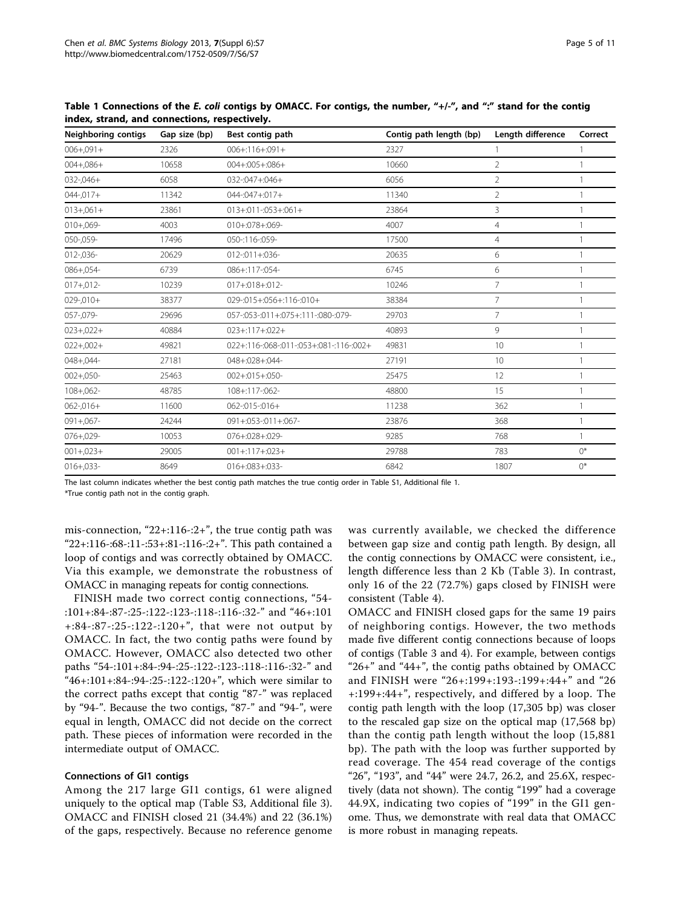| Neighboring contigs | Gap size (bp) | Best contig path                        | Contig path length (bp) | Length difference | Correct        |
|---------------------|---------------|-----------------------------------------|-------------------------|-------------------|----------------|
| $006 + 091 +$       | 2326          | $006 + 116 + 091 +$                     | 2327                    |                   |                |
| $004 + 086 +$       | 10658         | $004 + 005 + 086 +$                     | 10660                   | $\overline{2}$    | $\mathbf{1}$   |
| $032 - 046 +$       | 6058          | 032 -: 047 +: 046 +                     | 6056                    | $\overline{2}$    |                |
| $044 - 017 +$       | 11342         | $044 - 047 + 017 +$                     | 11340                   | $\overline{2}$    | $\overline{1}$ |
| $013 + 061 +$       | 23861         | $013 + 011 - 053 + 061 +$               | 23864                   | 3                 |                |
| $010+.069-$         | 4003          | 010+:078+:069-                          | 4007                    | $\overline{4}$    |                |
| 050-,059-           | 17496         | 050-:116-:059-                          | 17500                   | $\overline{4}$    | $\mathbf{1}$   |
| $012 - 036 -$       | 20629         | $012 - 011 + 036 -$                     | 20635                   | 6                 |                |
| $086 + 054 -$       | 6739          | 086+:117-:054-                          | 6745                    | 6                 | $\overline{1}$ |
| $017 + 012$ -       | 10239         | $017 + 018 + 012$                       | 10246                   | 7                 |                |
| $029 - 010 +$       | 38377         | 029-:015+:056+:116-:010+                | 38384                   | 7                 |                |
| 057-,079-           | 29696         | 057-:053-:011+:075+:111-:080-:079-      | 29703                   | $\overline{7}$    | $\mathbf{1}$   |
| $023 + 022 +$       | 40884         | $023 + 117 + 022 +$                     | 40893                   | 9                 |                |
| $022 + 002 +$       | 49821         | 022+:116-:068-:011-:053+:081-:116-:002+ | 49831                   | 10 <sup>°</sup>   | $\overline{1}$ |
| $048 + 044 -$       | 27181         | 048+:028+:044-                          | 27191                   | 10 <sup>°</sup>   |                |
| $002 + 050 -$       | 25463         | $002 + 015 + 050$                       | 25475                   | 12                |                |
| $108 + 062 -$       | 48785         | 108+:117-:062-                          | 48800                   | 15                | $\mathbf{1}$   |
| $062 - 016 +$       | 11600         | $062 - 015 - 016 +$                     | 11238                   | 362               |                |
| $091 + 067 -$       | 24244         | 091+:053-:011+:067-                     | 23876                   | 368               | $\mathbf{1}$   |
| $076 + 029 -$       | 10053         | $076 + 028 + 029$                       | 9285                    | 768               | 1              |
| $001 + 023 +$       | 29005         | $001 + 117 + 023 +$                     | 29788                   | 783               | $0^*$          |
| $016 + 033 -$       | 8649          | $016 + 083 + 033 -$                     | 6842                    | 1807              | $0^*$          |

<span id="page-4-0"></span>Table 1 Connections of the E. coli contigs by OMACC. For contigs, the number, "+/-", and ":" stand for the contig index, strand, and connections, respectively.

The last column indicates whether the best contig path matches the true contig order in Table S1, Additional file [1.](#page-10-0)

\*True contig path not in the contig graph.

mis-connection, " $22+116-2+$ ", the true contig path was "22+:116-:68-:11-:53+:81-:116-:2+". This path contained a loop of contigs and was correctly obtained by OMACC. Via this example, we demonstrate the robustness of OMACC in managing repeats for contig connections.

FINISH made two correct contig connections, "54- :101+:84-:87-:25-:122-:123-:118-:116-:32-" and "46+:101 +:84-:87-:25-:122-:120+", that were not output by OMACC. In fact, the two contig paths were found by OMACC. However, OMACC also detected two other paths "54-:101+:84-:94-:25-:122-:123-:118-:116-:32-" and "46+:101+:84-:94-:25-:122-:120+", which were similar to the correct paths except that contig "87-" was replaced by "94-". Because the two contigs, "87-" and "94-", were equal in length, OMACC did not decide on the correct path. These pieces of information were recorded in the intermediate output of OMACC.

#### Connections of GI1 contigs

Among the 217 large GI1 contigs, 61 were aligned uniquely to the optical map (Table S3, Additional file [3](#page-10-0)). OMACC and FINISH closed 21 (34.4%) and 22 (36.1%) of the gaps, respectively. Because no reference genome

was currently available, we checked the difference between gap size and contig path length. By design, all the contig connections by OMACC were consistent, i.e., length difference less than 2 Kb (Table [3](#page-6-0)). In contrast, only 16 of the 22 (72.7%) gaps closed by FINISH were consistent (Table [4](#page-7-0)).

OMACC and FINISH closed gaps for the same 19 pairs of neighboring contigs. However, the two methods made five different contig connections because of loops of contigs (Table [3](#page-6-0) and [4](#page-7-0)). For example, between contigs "26+" and "44+", the contig paths obtained by OMACC and FINISH were "26+:199+:193-:199+:44+" and "26 +:199+:44+", respectively, and differed by a loop. The contig path length with the loop (17,305 bp) was closer to the rescaled gap size on the optical map (17,568 bp) than the contig path length without the loop (15,881 bp). The path with the loop was further supported by read coverage. The 454 read coverage of the contigs "26", "193", and "44" were 24.7, 26.2, and 25.6X, respectively (data not shown). The contig "199" had a coverage 44.9X, indicating two copies of "199" in the GI1 genome. Thus, we demonstrate with real data that OMACC is more robust in managing repeats.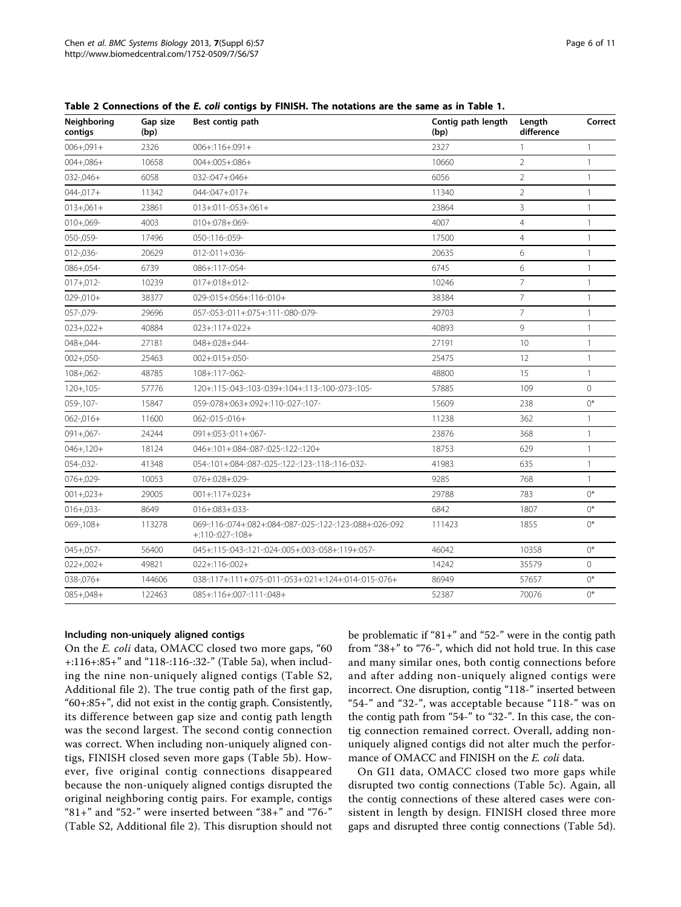| Neighboring<br>contigs | Gap size<br>(bp) | Best contig path                                                                | Contig path length<br>(bp) | Length<br>difference | Correct      |
|------------------------|------------------|---------------------------------------------------------------------------------|----------------------------|----------------------|--------------|
| $006 + 091 +$          | 2326             | $006 + 116 + 091 +$                                                             | 2327                       | 1                    | $\mathbf{1}$ |
| $004 + 086 +$          | 10658            | $004 + 005 + 086 +$                                                             | 10660                      | $\overline{2}$       | $\mathbf{1}$ |
| $032 - 046 +$          | 6058             | 032 -: 047 +: 046 +                                                             | 6056                       | $\overline{2}$       | 1            |
| $044 - 017 +$          | 11342            | $044 - 047 + 017 +$                                                             | 11340                      | $\overline{2}$       | $\mathbf{1}$ |
| $013 + 061 +$          | 23861            | $013 + 011 - 053 + 061 +$                                                       | 23864                      | 3                    | $\mathbf{1}$ |
| $010 + 069 -$          | 4003             | 010+:078+:069-                                                                  | 4007                       | $\overline{4}$       | $\mathbf{1}$ |
| 050-,059-              | 17496            | 050-:116-:059-                                                                  | 17500                      | $\overline{4}$       | $\mathbf{1}$ |
| $012 - 036 -$          | 20629            | $012 - 011 + 036$                                                               | 20635                      | 6                    | 1            |
| $086 + 054 -$          | 6739             | 086+:117-:054-                                                                  | 6745                       | 6                    | 1            |
| $017 + 012$ -          | 10239            | $017 + 018 + 012$                                                               | 10246                      | $\overline{7}$       | $\mathbf{1}$ |
| $029 - 010 +$          | 38377            | 029-:015+:056+:116-:010+                                                        | 38384                      | $\overline{7}$       | $\mathbf{1}$ |
| 057-,079-              | 29696            | 057-:053-:011+:075+:111-:080-:079-                                              | 29703                      | 7                    | $\mathbf{1}$ |
| $023 + 022 +$          | 40884            | $023 + 117 + 022 +$                                                             | 40893                      | $\circ$              | $\mathbf{1}$ |
| $048 + 044 -$          | 27181            | 048+:028+:044-                                                                  | 27191                      | 10                   | $\mathbf{1}$ |
| $002 + 050 -$          | 25463            | 002+:015+:050-                                                                  | 25475                      | 12                   | $\mathbf{1}$ |
| $108 + 062 -$          | 48785            | 108+:117-:062-                                                                  | 48800                      | 15                   | $\mathbf{1}$ |
| $120 + 105 -$          | 57776            | 120+:115-:043-:103-:039+:104+:113-:100-:073-:105-                               | 57885                      | 109                  | $\circ$      |
| 059-,107-              | 15847            | 059-:078+:063+:092+:110-:027-:107-                                              | 15609                      | 238                  | $0^*$        |
| $062 - 016 +$          | 11600            | $062 - 015 - 016 +$                                                             | 11238                      | 362                  | $\mathbf{1}$ |
| $091 + 067 -$          | 24244            | 091+:053-:011+:067-                                                             | 23876                      | 368                  | $\mathbf{1}$ |
| $046 + 120 +$          | 18124            | 046+:101+:084-:087-:025-:122-:120+                                              | 18753                      | 629                  | $\mathbf{1}$ |
| 054-,032-              | 41348            | 054-:101+:084-:087-:025-:122-:123-:118-:116-:032-                               | 41983                      | 635                  | $\mathbf{1}$ |
| $076 + 029 -$          | 10053            | 076+:028+:029-                                                                  | 9285                       | 768                  | $\mathbf{1}$ |
| $001 + 023 +$          | 29005            | $001 + 117 + 023 +$                                                             | 29788                      | 783                  | $0^*$        |
| $016 + 033 -$          | 8649             | 016+:083+:033-                                                                  | 6842                       | 1807                 | $0^*$        |
| $069 - 108 +$          | 113278           | 069-:116-:074+:082+:084-:087-:025-:122-:123-:088+:026-:092<br>$+:110-.027:108+$ | 111423                     | 1855                 | $()^*$       |
| $045 + 057 -$          | 56400            | 045+:115-:043-:121-:024-:005+:003-:058+:119+:057-                               | 46042                      | 10358                | $0^*$        |
| $022 + 002 +$          | 49821            | $022 + 116 - 002 +$                                                             | 14242                      | 35579                | $\mathbf{0}$ |
| $038 - 076 +$          | 144606           | 038-:117+:111+:075-:011-:053+:021+:124+:014-:015-:076+                          | 86949                      | 57657                | $0^*$        |
| $085 + 048 +$          | 122463           | 085+:116+:007-:111-:048+                                                        | 52387                      | 70076                | $()^*$       |

<span id="page-5-0"></span>Table 2 Connections of the E. coli contigs by FINISH. The notations are the same as in Table 1.

#### Including non-uniquely aligned contigs

On the E. coli data, OMACC closed two more gaps, "60 +:116+:85+" and "118-:116-:32-" (Table [5](#page-9-0)a), when including the nine non-uniquely aligned contigs (Table S2, Additional file [2\)](#page-10-0). The true contig path of the first gap, "60+:85+", did not exist in the contig graph. Consistently, its difference between gap size and contig path length was the second largest. The second contig connection was correct. When including non-uniquely aligned contigs, FINISH closed seven more gaps (Table [5b](#page-9-0)). However, five original contig connections disappeared because the non-uniquely aligned contigs disrupted the original neighboring contig pairs. For example, contigs  $"81+"$  and "52-" were inserted between "38+" and "76-" (Table S2, Additional file [2\)](#page-10-0). This disruption should not be problematic if "81+" and "52-" were in the contig path from "38+" to "76-", which did not hold true. In this case and many similar ones, both contig connections before and after adding non-uniquely aligned contigs were incorrect. One disruption, contig "118-" inserted between "54-" and "32-", was acceptable because "118-" was on the contig path from "54-" to "32-". In this case, the contig connection remained correct. Overall, adding nonuniquely aligned contigs did not alter much the performance of OMACC and FINISH on the E. coli data.

On GI1 data, OMACC closed two more gaps while disrupted two contig connections (Table [5](#page-9-0)c). Again, all the contig connections of these altered cases were consistent in length by design. FINISH closed three more gaps and disrupted three contig connections (Table [5d](#page-9-0)).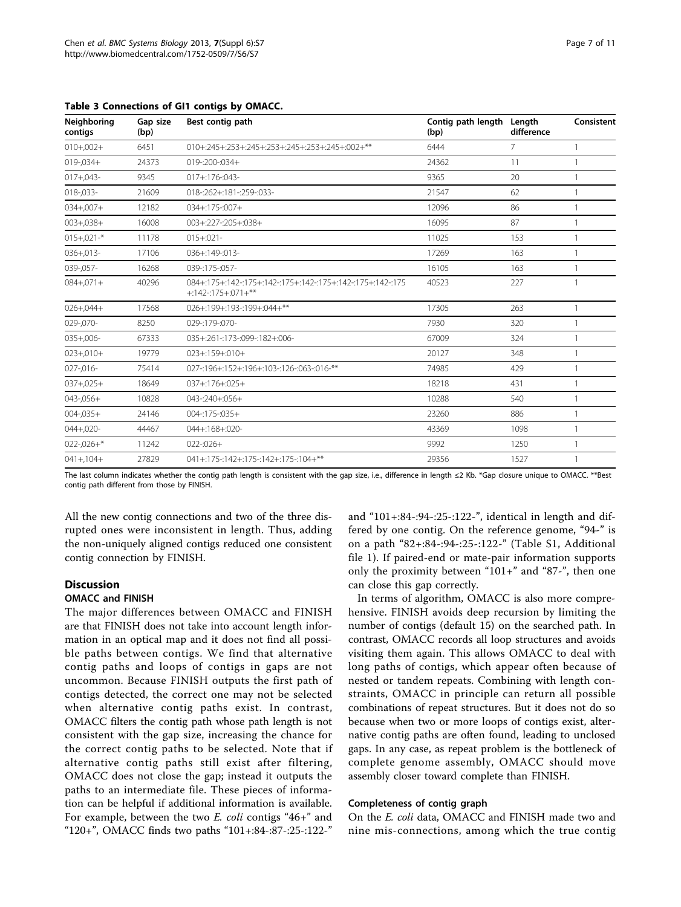| Neighboring<br>contigs | Gap size<br>(bp) | Best contig path                                                                      | Contig path length<br>(bp) | Length<br>difference | Consistent |
|------------------------|------------------|---------------------------------------------------------------------------------------|----------------------------|----------------------|------------|
| $010+.002+$            | 6451             | 010+:245+:253+:245+:253+:245+:253+:245+:002+**                                        | 6444                       | 7                    |            |
| $019 - 034 +$          | 24373            | 019-:200-:034+                                                                        | 24362                      | 11                   |            |
| $017 + 043 -$          | 9345             | 017+:176-:043-                                                                        | 9365                       | 20                   |            |
| 018-,033-              | 21609            | 018 -: 262 +: 181 -: 259 -: 033 -                                                     | 21547                      | 62                   |            |
| $034 + 007 +$          | 12182            | $034 + 175 - 007 +$                                                                   | 12096                      | 86                   |            |
| $003 + 038 +$          | 16008            | 003+:227-:205+:038+                                                                   | 16095                      | 87                   |            |
| $015 + 021 -$ *        | 11178            | $015 + 021 -$                                                                         | 11025                      | 153                  |            |
| $036 + 013 -$          | 17106            | 036+:149-:013-                                                                        | 17269                      | 163                  |            |
| 039-,057-              | 16268            | 039 -: 175 -: 057 -                                                                   | 16105                      | 163                  |            |
| $084 + 071 +$          | 40296            | 084+:175+:142-:175+:142-:175+:142-:175+:142-:175+:142-:175<br>$+142 - 175 + 071 +$ ** | 40523                      | 227                  |            |
| $026 + 044 +$          | 17568            | 026+:199+:193-:199+:044+**                                                            | 17305                      | 263                  |            |
| 029-,070-              | 8250             | 029 -: 179 -: 070 -                                                                   | 7930                       | 320                  |            |
| $035 + 006 -$          | 67333            | 035+:261-:173-:099-:182+:006-                                                         | 67009                      | 324                  |            |
| $023 + 010 +$          | 19779            | $023 + 159 + 010 +$                                                                   | 20127                      | 348                  |            |
| $027 - 016 -$          | 75414            | 027 -: 196 +: 152 +: 196 +: 103 -: 126 -: 063 -: 016 -**                              | 74985                      | 429                  |            |
| $037 + 025 +$          | 18649            | $037 + 176 + 025 +$                                                                   | 18218                      | 431                  |            |
| $043 - 056 +$          | 10828            | $043 - 240 + 056 +$                                                                   | 10288                      | 540                  |            |
| $004 - 035 +$          | 24146            | $004 - 175 - 035 +$                                                                   | 23260                      | 886                  |            |
| $044 + 020 -$          | 44467            | 044+:168+:020-                                                                        | 43369                      | 1098                 |            |
| $022 - 026 +$ *        | 11242            | $022 - 026 +$                                                                         | 9992                       | 1250                 |            |
| $041 + 104 +$          | 27829            | 041+:175-:142+:175-:142+:175-:104+**                                                  | 29356                      | 1527                 |            |

<span id="page-6-0"></span>Table 3 Connections of GI1 contigs by OMACC.

The last column indicates whether the contig path length is consistent with the gap size, i.e., difference in length ≤2 Kb. \*Gap closure unique to OMACC. \*\*Best contig path different from those by FINISH.

All the new contig connections and two of the three disrupted ones were inconsistent in length. Thus, adding the non-uniquely aligned contigs reduced one consistent contig connection by FINISH.

# Discussion

#### OMACC and FINISH

The major differences between OMACC and FINISH are that FINISH does not take into account length information in an optical map and it does not find all possible paths between contigs. We find that alternative contig paths and loops of contigs in gaps are not uncommon. Because FINISH outputs the first path of contigs detected, the correct one may not be selected when alternative contig paths exist. In contrast, OMACC filters the contig path whose path length is not consistent with the gap size, increasing the chance for the correct contig paths to be selected. Note that if alternative contig paths still exist after filtering, OMACC does not close the gap; instead it outputs the paths to an intermediate file. These pieces of information can be helpful if additional information is available. For example, between the two E. coli contigs "46+" and "120+", OMACC finds two paths "101+:84-:87-:25-:122-"

and "101+:84-:94-:25-:122-", identical in length and differed by one contig. On the reference genome, "94-" is on a path "82+:84-:94-:25-:122-" (Table S1, Additional file [1\)](#page-10-0). If paired-end or mate-pair information supports only the proximity between "101+" and "87-", then one can close this gap correctly.

In terms of algorithm, OMACC is also more comprehensive. FINISH avoids deep recursion by limiting the number of contigs (default 15) on the searched path. In contrast, OMACC records all loop structures and avoids visiting them again. This allows OMACC to deal with long paths of contigs, which appear often because of nested or tandem repeats. Combining with length constraints, OMACC in principle can return all possible combinations of repeat structures. But it does not do so because when two or more loops of contigs exist, alternative contig paths are often found, leading to unclosed gaps. In any case, as repeat problem is the bottleneck of complete genome assembly, OMACC should move assembly closer toward complete than FINISH.

#### Completeness of contig graph

On the E. coli data, OMACC and FINISH made two and nine mis-connections, among which the true contig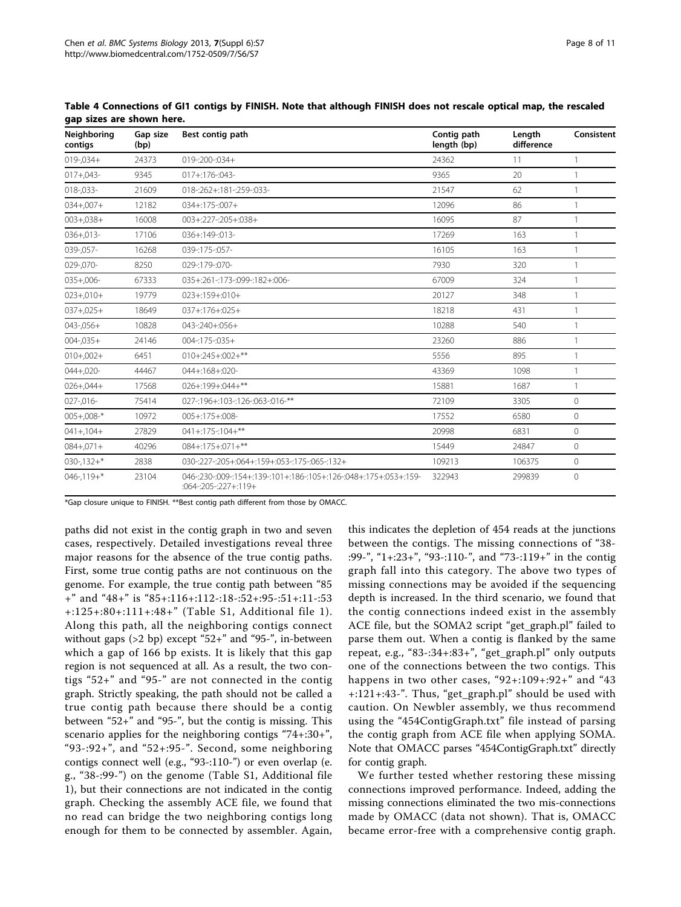| Neighboring<br>contigs | Gap size<br>(bp) | Best contig path                                                                                  | Contig path<br>length (bp) | Length<br>difference | Consistent     |
|------------------------|------------------|---------------------------------------------------------------------------------------------------|----------------------------|----------------------|----------------|
| $019 - 034 +$          | 24373            | 019-:200-:034+                                                                                    | 24362                      | 11                   | 1              |
| $017 + 043 -$          | 9345             | $017 + 176 - 043$                                                                                 | 9365                       | 20                   |                |
| 018-,033-              | 21609            | 018 -: 262 +: 181 -: 259 -: 033 -                                                                 | 21547                      | 62                   |                |
| $034 + 007 +$          | 12182            | $034 + 175 - 007 +$                                                                               | 12096                      | 86                   |                |
| $003 + 038 +$          | 16008            | 003+:227-:205+:038+                                                                               | 16095                      | 87                   |                |
| $036 + 013 -$          | 17106            | 036+:149-:013-                                                                                    | 17269                      | 163                  |                |
| 039-,057-              | 16268            | 039 -: 175 -: 057 -                                                                               | 16105                      | 163                  |                |
| 029-,070-              | 8250             | 029 -: 179 -: 070 -                                                                               | 7930                       | 320                  |                |
| $035 + 006 -$          | 67333            | 035+:261-:173-:099-:182+:006-                                                                     | 67009                      | 324                  |                |
| $023 + 010 +$          | 19779            | $023 + 159 + 010 +$                                                                               | 20127                      | 348                  |                |
| $037 + 025 +$          | 18649            | $037 + 176 + 025 +$                                                                               | 18218                      | 431                  |                |
| $043 - 056 +$          | 10828            | 043-:240+:056+                                                                                    | 10288                      | 540                  |                |
| $004 - 035 +$          | 24146            | $004:175:035+$                                                                                    | 23260                      | 886                  |                |
| $010+.002+$            | 6451             | $010 + 245 + 002 +$ **                                                                            | 5556                       | 895                  |                |
| $044 + 020 -$          | 44467            | 044+:168+:020-                                                                                    | 43369                      | 1098                 |                |
| $026 + 044 +$          | 17568            | $026 + 199 + 044 +$ **                                                                            | 15881                      | 1687                 |                |
| $027 - 016 -$          | 75414            | 027 -: 196 +: 103 -: 126 -: 063 -: 016 -**                                                        | 72109                      | 3305                 | $\overline{0}$ |
| $005 + 008 -$ *        | 10972            | $005 + 175 + 008$                                                                                 | 17552                      | 6580                 | $\mathbf{0}$   |
| $041 + 104 +$          | 27829            | $041 + 175 - 104 +$ **                                                                            | 20998                      | 6831                 | $\circ$        |
| $084 + 071 +$          | 40296            | $084 + 175 + 071 +$ **                                                                            | 15449                      | 24847                | $\circ$        |
| $030 - 132 +$ *        | 2838             | 030-:227-:205+:064+:159+:053-:175-:065-:132+                                                      | 109213                     | 106375               | $\circ$        |
| $046 - 119 +$ *        | 23104            | 046-:230-:009-:154+:139-:101+:186-:105+:126-:048+:175+:053+:159-<br>$:064$ -: 205 -: 227 +: 119 + | 322943                     | 299839               | $\circ$        |

<span id="page-7-0"></span>Table 4 Connections of GI1 contigs by FINISH. Note that although FINISH does not rescale optical map, the rescaled gap sizes are shown here.

\*Gap closure unique to FINISH. \*\*Best contig path different from those by OMACC.

paths did not exist in the contig graph in two and seven cases, respectively. Detailed investigations reveal three major reasons for the absence of the true contig paths. First, some true contig paths are not continuous on the genome. For example, the true contig path between "85 +" and "48+" is "85+:116+:112-:18-:52+:95-:51+:11-:53 +:125+:80+:111+:48+" (Table S1, Additional file [1\)](#page-10-0). Along this path, all the neighboring contigs connect without gaps (>2 bp) except "52+" and "95-", in-between which a gap of 166 bp exists. It is likely that this gap region is not sequenced at all. As a result, the two contigs "52+" and "95-" are not connected in the contig graph. Strictly speaking, the path should not be called a true contig path because there should be a contig between "52+" and "95-", but the contig is missing. This scenario applies for the neighboring contigs "74+:30+", "93-:92+", and "52+:95-". Second, some neighboring contigs connect well (e.g., "93-:110-") or even overlap (e. g., "38-:99-") on the genome (Table S1, Additional file [1\)](#page-10-0), but their connections are not indicated in the contig graph. Checking the assembly ACE file, we found that no read can bridge the two neighboring contigs long enough for them to be connected by assembler. Again,

this indicates the depletion of 454 reads at the junctions between the contigs. The missing connections of "38- :99-", "1+:23+", "93-:110-", and "73-:119+" in the contig graph fall into this category. The above two types of missing connections may be avoided if the sequencing depth is increased. In the third scenario, we found that the contig connections indeed exist in the assembly ACE file, but the SOMA2 script "get\_graph.pl" failed to parse them out. When a contig is flanked by the same repeat, e.g., "83-:34+:83+", "get\_graph.pl" only outputs one of the connections between the two contigs. This happens in two other cases, "92+:109+:92+" and "43 +:121+:43-". Thus, "get\_graph.pl" should be used with caution. On Newbler assembly, we thus recommend using the "454ContigGraph.txt" file instead of parsing the contig graph from ACE file when applying SOMA. Note that OMACC parses "454ContigGraph.txt" directly for contig graph.

We further tested whether restoring these missing connections improved performance. Indeed, adding the missing connections eliminated the two mis-connections made by OMACC (data not shown). That is, OMACC became error-free with a comprehensive contig graph.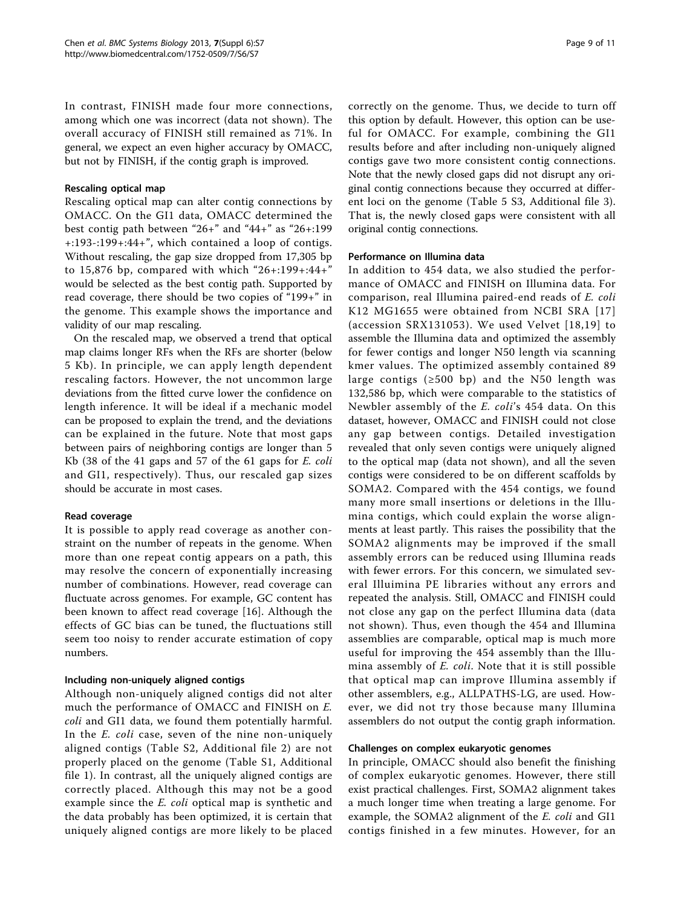In contrast, FINISH made four more connections, among which one was incorrect (data not shown). The overall accuracy of FINISH still remained as 71%. In general, we expect an even higher accuracy by OMACC, but not by FINISH, if the contig graph is improved.

### Rescaling optical map

Rescaling optical map can alter contig connections by OMACC. On the GI1 data, OMACC determined the best contig path between "26+" and "44+" as "26+:199 +:193-:199+:44+", which contained a loop of contigs. Without rescaling, the gap size dropped from 17,305 bp to 15,876 bp, compared with which "26+:199+:44+" would be selected as the best contig path. Supported by read coverage, there should be two copies of "199+" in the genome. This example shows the importance and validity of our map rescaling.

On the rescaled map, we observed a trend that optical map claims longer RFs when the RFs are shorter (below 5 Kb). In principle, we can apply length dependent rescaling factors. However, the not uncommon large deviations from the fitted curve lower the confidence on length inference. It will be ideal if a mechanic model can be proposed to explain the trend, and the deviations can be explained in the future. Note that most gaps between pairs of neighboring contigs are longer than 5 Kb (38 of the 41 gaps and 57 of the 61 gaps for E. coli and GI1, respectively). Thus, our rescaled gap sizes should be accurate in most cases.

#### Read coverage

It is possible to apply read coverage as another constraint on the number of repeats in the genome. When more than one repeat contig appears on a path, this may resolve the concern of exponentially increasing number of combinations. However, read coverage can fluctuate across genomes. For example, GC content has been known to affect read coverage [\[16](#page-10-0)]. Although the effects of GC bias can be tuned, the fluctuations still seem too noisy to render accurate estimation of copy numbers.

# Including non-uniquely aligned contigs

Although non-uniquely aligned contigs did not alter much the performance of OMACC and FINISH on E. coli and GI1 data, we found them potentially harmful. In the *E. coli* case, seven of the nine non-uniquely aligned contigs (Table S2, Additional file [2](#page-10-0)) are not properly placed on the genome (Table S1, Additional file [1](#page-10-0)). In contrast, all the uniquely aligned contigs are correctly placed. Although this may not be a good example since the *E. coli* optical map is synthetic and the data probably has been optimized, it is certain that uniquely aligned contigs are more likely to be placed correctly on the genome. Thus, we decide to turn off this option by default. However, this option can be useful for OMACC. For example, combining the GI1 results before and after including non-uniquely aligned contigs gave two more consistent contig connections. Note that the newly closed gaps did not disrupt any original contig connections because they occurred at different loci on the genome (Table [5](#page-9-0) S3, Additional file [3](#page-10-0)). That is, the newly closed gaps were consistent with all original contig connections.

#### Performance on Illumina data

In addition to 454 data, we also studied the performance of OMACC and FINISH on Illumina data. For comparison, real Illumina paired-end reads of E. coli K12 MG1655 were obtained from NCBI SRA [[17](#page-10-0)] (accession SRX131053). We used Velvet [[18,19](#page-10-0)] to assemble the Illumina data and optimized the assembly for fewer contigs and longer N50 length via scanning kmer values. The optimized assembly contained 89 large contigs ( $\geq 500$  bp) and the N50 length was 132,586 bp, which were comparable to the statistics of Newbler assembly of the E. coli's 454 data. On this dataset, however, OMACC and FINISH could not close any gap between contigs. Detailed investigation revealed that only seven contigs were uniquely aligned to the optical map (data not shown), and all the seven contigs were considered to be on different scaffolds by SOMA2. Compared with the 454 contigs, we found many more small insertions or deletions in the Illumina contigs, which could explain the worse alignments at least partly. This raises the possibility that the SOMA2 alignments may be improved if the small assembly errors can be reduced using Illumina reads with fewer errors. For this concern, we simulated several Illuimina PE libraries without any errors and repeated the analysis. Still, OMACC and FINISH could not close any gap on the perfect Illumina data (data not shown). Thus, even though the 454 and Illumina assemblies are comparable, optical map is much more useful for improving the 454 assembly than the Illumina assembly of E. coli. Note that it is still possible that optical map can improve Illumina assembly if other assemblers, e.g., ALLPATHS-LG, are used. However, we did not try those because many Illumina assemblers do not output the contig graph information.

#### Challenges on complex eukaryotic genomes

In principle, OMACC should also benefit the finishing of complex eukaryotic genomes. However, there still exist practical challenges. First, SOMA2 alignment takes a much longer time when treating a large genome. For example, the SOMA2 alignment of the E. coli and GI1 contigs finished in a few minutes. However, for an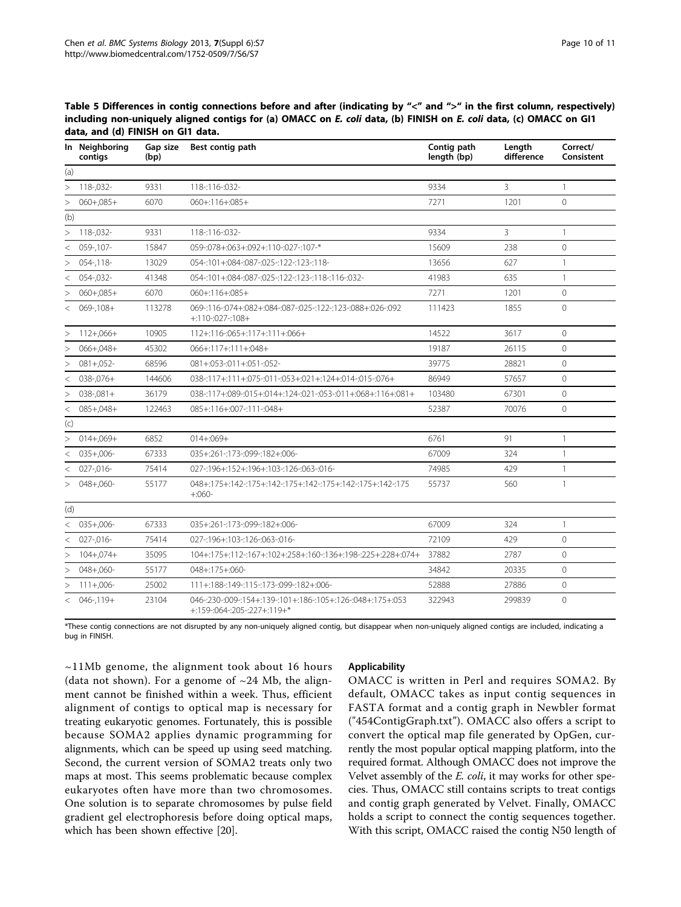|         | In Neighboring<br>contigs | Gap size<br>(bp) | Best contig path                                                                          | Contig path<br>length (bp) | Length<br>difference | Correct/<br>Consistent |
|---------|---------------------------|------------------|-------------------------------------------------------------------------------------------|----------------------------|----------------------|------------------------|
| (a)     |                           |                  |                                                                                           |                            |                      |                        |
|         | $> 118 - 032$             | 9331             | 118-:116-:032-                                                                            | 9334                       | 3                    | $\mathbf{1}$           |
| $\geq$  | $060 + .085 +$            | 6070             | $060 + 116 + 085 +$                                                                       | 7271                       | 1201                 | $\overline{0}$         |
| (b)     |                           |                  |                                                                                           |                            |                      |                        |
| $\geq$  | 118-,032-                 | 9331             | 118-:116-:032-                                                                            | 9334                       | $\overline{3}$       | $\mathbf{1}$           |
| $\,<\,$ | 059-,107-                 | 15847            | 059-:078+:063+:092+:110-:027-:107-*                                                       | 15609                      | 238                  | $\circ$                |
| $\geq$  | $054 - 118$               | 13029            | 054-:101+:084-:087-:025-:122-:123-:118-                                                   | 13656                      | 627                  | 1                      |
| $\,<\,$ | 054-,032-                 | 41348            | 054-:101+:084-:087-:025-:122-:123-:118-:116-:032-                                         | 41983                      | 635                  | $\mathbf{1}$           |
| $\geq$  | $060 + 085 +$             | 6070             | $060 + 116 + 085 +$                                                                       | 7271                       | 1201                 | $\overline{0}$         |
|         | $<$ 069-,108+             | 113278           | 069-:116-:074+:082+:084-:087-:025-:122-:123-:088+:026-:092<br>$+:110:027:108+$            | 111423                     | 1855                 | $\Omega$               |
| >       | $112 + 066 +$             | 10905            | $112 + 116 - 065 + 117 + 111 + 066 +$                                                     | 14522                      | 3617                 | $\Omega$               |
| >       | $066 + 048 +$             | 45302            | 066+:117+:111+:048+                                                                       | 19187                      | 26115                | $\Omega$               |
| $\geq$  | $081 + 052$ -             | 68596            | $081 + 053 - 011 + 051 - 052$                                                             | 39775                      | 28821                | $\Omega$               |
| $\,<$   | $038 - 076 +$             | 144606           | 038-:117+:111+:075-:011-:053+:021+:124+:014-:015-:076+                                    | 86949                      | 57657                | $\mathbf 0$            |
| $\geq$  | $038 - 081 +$             | 36179            | 038-:117+:089-:015+:014+:124-:021-:053-:011+:068+:116+:081+                               | 103480                     | 67301                | $\circ$                |
| $\,<\,$ | $085 + 048 +$             | 122463           | 085+:116+:007-:111-:048+                                                                  | 52387                      | 70076                | $\Omega$               |
| (c)     |                           |                  |                                                                                           |                            |                      |                        |
| $\geq$  | $014 + 069 +$             | 6852             | $014 + 069 +$                                                                             | 6761                       | 91                   | 1                      |
| $\,<\,$ | $035 + 006 -$             | 67333            | 035+:261-:173-:099-:182+:006-                                                             | 67009                      | 324                  | $\mathbf{1}$           |
| $\,<\,$ | 027-,016-                 | 75414            | 027-:196+:152+:196+:103-:126-:063-:016-                                                   | 74985                      | 429                  | $\mathbf{1}$           |
| $\geq$  | 048+,060-                 | 55177            | 048+:175+:142-:175+:142-:175+:142-:175+:142-:175+:142-:175<br>$+0.060 -$                  | 55737                      | 560                  | $\mathbf{1}$           |
| (d)     |                           |                  |                                                                                           |                            |                      |                        |
| $\,<$   | $035 + 006 -$             | 67333            | 035+:261-:173-:099-:182+:006-                                                             | 67009                      | 324                  | $\mathbf{1}$           |
| $\lt$   | 027-,016-                 | 75414            | 027 -: 196 +: 103 -: 126 -: 063 -: 016 -                                                  | 72109                      | 429                  | $\overline{0}$         |
| >       | $104 + 074 +$             | 35095            | 104+:175+:112-:167+:102+:258+:160-:136+:198-:225+:228+:074+                               | 37882                      | 2787                 | $\Omega$               |
| $\geq$  | $048 + 060 -$             | 55177            | 048+:175+:060-                                                                            | 34842                      | 20335                | $\Omega$               |
| >       | $111+.006-$               | 25002            | 111+:188-:149-:115-:173-:099-:182+:006-                                                   | 52888                      | 27886                | $\overline{0}$         |
|         | $< 046 - 119 +$           | 23104            | 046-:230-:009-:154+:139-:101+:186-:105+:126-:048+:175+:053<br>+:159-:064-:205-:227+:119+* | 322943                     | 299839               | $\mathbf 0$            |

<span id="page-9-0"></span>Table 5 Differences in contig connections before and after (indicating by "<" and ">" in the first column, respectively) including non-uniquely aligned contigs for (a) OMACC on E. coli data, (b) FINISH on E. coli data, (c) OMACC on GI1 data, and (d) FINISH on GI1 data.

\*These contig connections are not disrupted by any non-uniquely aligned contig, but disappear when non-uniquely aligned contigs are included, indicating a bug in FINISH.

 $\sim$ 11Mb genome, the alignment took about 16 hours (data not shown). For a genome of  $\sim$ 24 Mb, the alignment cannot be finished within a week. Thus, efficient alignment of contigs to optical map is necessary for treating eukaryotic genomes. Fortunately, this is possible because SOMA2 applies dynamic programming for alignments, which can be speed up using seed matching. Second, the current version of SOMA2 treats only two maps at most. This seems problematic because complex eukaryotes often have more than two chromosomes. One solution is to separate chromosomes by pulse field gradient gel electrophoresis before doing optical maps, which has been shown effective [[20\]](#page-10-0).

# Applicability

OMACC is written in Perl and requires SOMA2. By default, OMACC takes as input contig sequences in FASTA format and a contig graph in Newbler format ("454ContigGraph.txt"). OMACC also offers a script to convert the optical map file generated by OpGen, currently the most popular optical mapping platform, into the required format. Although OMACC does not improve the Velvet assembly of the E. coli, it may works for other species. Thus, OMACC still contains scripts to treat contigs and contig graph generated by Velvet. Finally, OMACC holds a script to connect the contig sequences together. With this script, OMACC raised the contig N50 length of